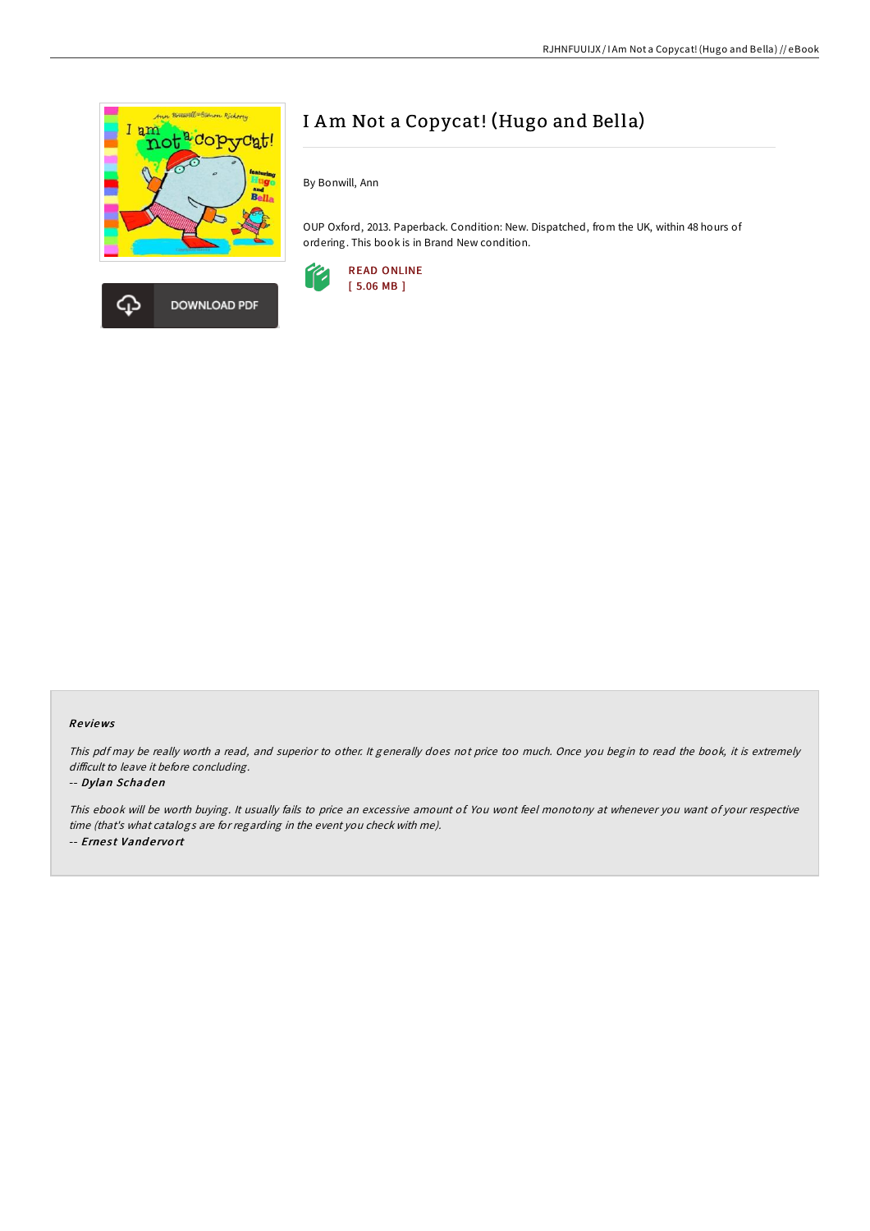



# I Am Not a Copycat! (Hugo and Bella)

By Bonwill, Ann

OUP Oxford, 2013. Paperback. Condition: New. Dispatched, from the UK, within 48 hours of ordering. This book is in Brand New condition.



## Re views

This pdf may be really worth <sup>a</sup> read, and superior to other. It generally does not price too much. Once you begin to read the book, it is extremely difficult to leave it before concluding.

#### -- Dylan Schaden

This ebook will be worth buying. It usually fails to price an excessive amount of. You wont feel monotony at whenever you want of your respective time (that's what catalogs are for regarding in the event you check with me). -- Ernest Vandervort